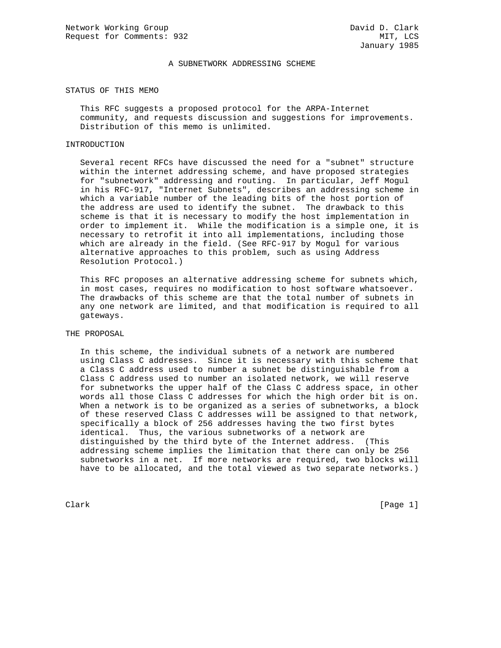## A SUBNETWORK ADDRESSING SCHEME

## STATUS OF THIS MEMO

 This RFC suggests a proposed protocol for the ARPA-Internet community, and requests discussion and suggestions for improvements. Distribution of this memo is unlimited.

#### INTRODUCTION

 Several recent RFCs have discussed the need for a "subnet" structure within the internet addressing scheme, and have proposed strategies for "subnetwork" addressing and routing. In particular, Jeff Mogul in his RFC-917, "Internet Subnets", describes an addressing scheme in which a variable number of the leading bits of the host portion of the address are used to identify the subnet. The drawback to this scheme is that it is necessary to modify the host implementation in order to implement it. While the modification is a simple one, it is necessary to retrofit it into all implementations, including those which are already in the field. (See RFC-917 by Mogul for various alternative approaches to this problem, such as using Address Resolution Protocol.)

 This RFC proposes an alternative addressing scheme for subnets which, in most cases, requires no modification to host software whatsoever. The drawbacks of this scheme are that the total number of subnets in any one network are limited, and that modification is required to all gateways.

#### THE PROPOSAL

 In this scheme, the individual subnets of a network are numbered using Class C addresses. Since it is necessary with this scheme that a Class C address used to number a subnet be distinguishable from a Class C address used to number an isolated network, we will reserve for subnetworks the upper half of the Class C address space, in other words all those Class C addresses for which the high order bit is on. When a network is to be organized as a series of subnetworks, a block of these reserved Class C addresses will be assigned to that network, specifically a block of 256 addresses having the two first bytes identical. Thus, the various subnetworks of a network are distinguished by the third byte of the Internet address. (This addressing scheme implies the limitation that there can only be 256 subnetworks in a net. If more networks are required, two blocks will have to be allocated, and the total viewed as two separate networks.)

Clark [Page 1]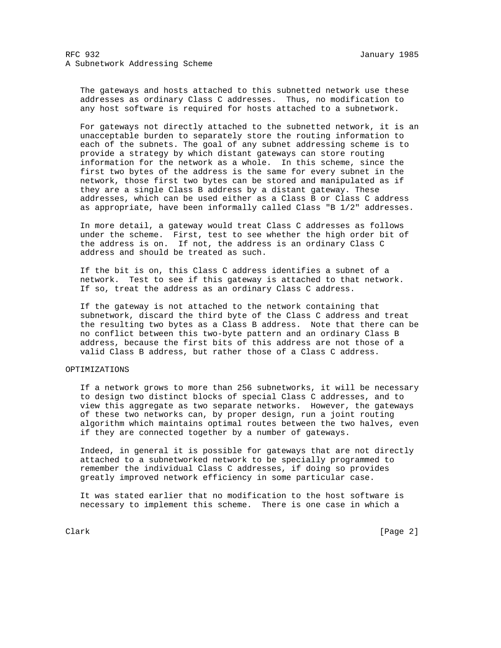The gateways and hosts attached to this subnetted network use these addresses as ordinary Class C addresses. Thus, no modification to any host software is required for hosts attached to a subnetwork.

 For gateways not directly attached to the subnetted network, it is an unacceptable burden to separately store the routing information to each of the subnets. The goal of any subnet addressing scheme is to provide a strategy by which distant gateways can store routing information for the network as a whole. In this scheme, since the first two bytes of the address is the same for every subnet in the network, those first two bytes can be stored and manipulated as if they are a single Class B address by a distant gateway. These addresses, which can be used either as a Class B or Class C address as appropriate, have been informally called Class "B 1/2" addresses.

 In more detail, a gateway would treat Class C addresses as follows under the scheme. First, test to see whether the high order bit of the address is on. If not, the address is an ordinary Class C address and should be treated as such.

 If the bit is on, this Class C address identifies a subnet of a network. Test to see if this gateway is attached to that network. If so, treat the address as an ordinary Class C address.

 If the gateway is not attached to the network containing that subnetwork, discard the third byte of the Class C address and treat the resulting two bytes as a Class B address. Note that there can be no conflict between this two-byte pattern and an ordinary Class B address, because the first bits of this address are not those of a valid Class B address, but rather those of a Class C address.

# OPTIMIZATIONS

 If a network grows to more than 256 subnetworks, it will be necessary to design two distinct blocks of special Class C addresses, and to view this aggregate as two separate networks. However, the gateways of these two networks can, by proper design, run a joint routing algorithm which maintains optimal routes between the two halves, even if they are connected together by a number of gateways.

 Indeed, in general it is possible for gateways that are not directly attached to a subnetworked network to be specially programmed to remember the individual Class C addresses, if doing so provides greatly improved network efficiency in some particular case.

 It was stated earlier that no modification to the host software is necessary to implement this scheme. There is one case in which a

Clark [Page 2]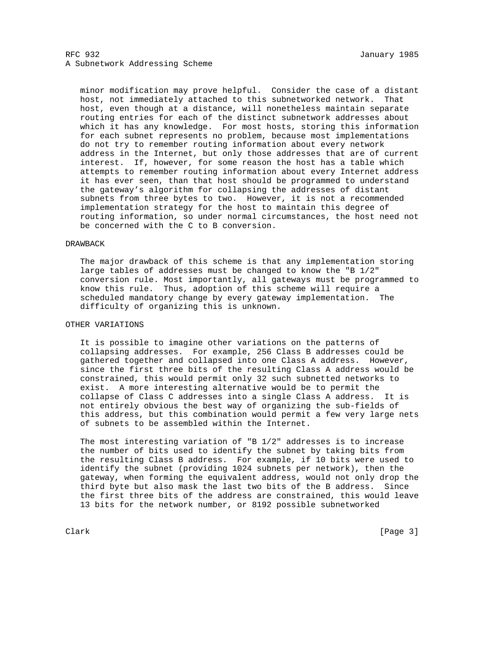# RFC 932 January 1985 A Subnetwork Addressing Scheme

 minor modification may prove helpful. Consider the case of a distant host, not immediately attached to this subnetworked network. That host, even though at a distance, will nonetheless maintain separate routing entries for each of the distinct subnetwork addresses about which it has any knowledge. For most hosts, storing this information for each subnet represents no problem, because most implementations do not try to remember routing information about every network address in the Internet, but only those addresses that are of current interest. If, however, for some reason the host has a table which attempts to remember routing information about every Internet address it has ever seen, than that host should be programmed to understand the gateway's algorithm for collapsing the addresses of distant subnets from three bytes to two. However, it is not a recommended implementation strategy for the host to maintain this degree of routing information, so under normal circumstances, the host need not be concerned with the C to B conversion.

#### DRAWBACK

 The major drawback of this scheme is that any implementation storing large tables of addresses must be changed to know the "B 1/2" conversion rule. Most importantly, all gateways must be programmed to know this rule. Thus, adoption of this scheme will require a scheduled mandatory change by every gateway implementation. The difficulty of organizing this is unknown.

## OTHER VARIATIONS

 It is possible to imagine other variations on the patterns of collapsing addresses. For example, 256 Class B addresses could be gathered together and collapsed into one Class A address. However, since the first three bits of the resulting Class A address would be constrained, this would permit only 32 such subnetted networks to exist. A more interesting alternative would be to permit the collapse of Class C addresses into a single Class A address. It is not entirely obvious the best way of organizing the sub-fields of this address, but this combination would permit a few very large nets of subnets to be assembled within the Internet.

 The most interesting variation of "B 1/2" addresses is to increase the number of bits used to identify the subnet by taking bits from the resulting Class B address. For example, if 10 bits were used to identify the subnet (providing 1024 subnets per network), then the gateway, when forming the equivalent address, would not only drop the third byte but also mask the last two bits of the B address. Since the first three bits of the address are constrained, this would leave 13 bits for the network number, or 8192 possible subnetworked

Clark [Page 3]